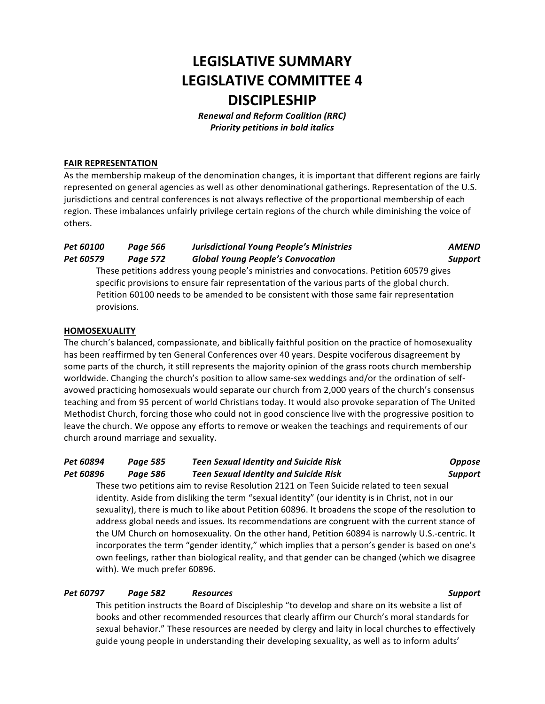# **LEGISLATIVE SUMMARY LEGISLATIVE COMMITTEE 4 DISCIPLESHIP**

*Renewal and Reform Coalition (RRC)* **Priority petitions in bold italics** 

#### **FAIR REPRESENTATION**

As the membership makeup of the denomination changes, it is important that different regions are fairly represented on general agencies as well as other denominational gatherings. Representation of the U.S. jurisdictions and central conferences is not always reflective of the proportional membership of each region. These imbalances unfairly privilege certain regions of the church while diminishing the voice of others.

## *Pet 60100 Page 566 Jurisdictional Young People's Ministries AMEND Pet 60579 Page 572 Global Young People's Convocation Support*

These petitions address young people's ministries and convocations. Petition 60579 gives specific provisions to ensure fair representation of the various parts of the global church. Petition 60100 needs to be amended to be consistent with those same fair representation provisions.

#### **HOMOSEXUALITY**

The church's balanced, compassionate, and biblically faithful position on the practice of homosexuality has been reaffirmed by ten General Conferences over 40 years. Despite vociferous disagreement by some parts of the church, it still represents the majority opinion of the grass roots church membership worldwide. Changing the church's position to allow same-sex weddings and/or the ordination of selfavowed practicing homosexuals would separate our church from 2,000 years of the church's consensus teaching and from 95 percent of world Christians today. It would also provoke separation of The United Methodist Church, forcing those who could not in good conscience live with the progressive position to leave the church. We oppose any efforts to remove or weaken the teachings and requirements of our church around marriage and sexuality.

### *Pet 60894 Page 585 Teen Sexual Identity and Suicide Risk Oppose Pet 60896 Page 586 Teen Sexual Identity and Suicide Risk Support*

These two petitions aim to revise Resolution 2121 on Teen Suicide related to teen sexual identity. Aside from disliking the term "sexual identity" (our identity is in Christ, not in our sexuality), there is much to like about Petition 60896. It broadens the scope of the resolution to address global needs and issues. Its recommendations are congruent with the current stance of the UM Church on homosexuality. On the other hand, Petition 60894 is narrowly U.S.-centric. It incorporates the term "gender identity," which implies that a person's gender is based on one's own feelings, rather than biological reality, and that gender can be changed (which we disagree with). We much prefer 60896.

### *Pet 60797 Page 582 Resources Support*

This petition instructs the Board of Discipleship "to develop and share on its website a list of books and other recommended resources that clearly affirm our Church's moral standards for sexual behavior." These resources are needed by clergy and laity in local churches to effectively guide young people in understanding their developing sexuality, as well as to inform adults'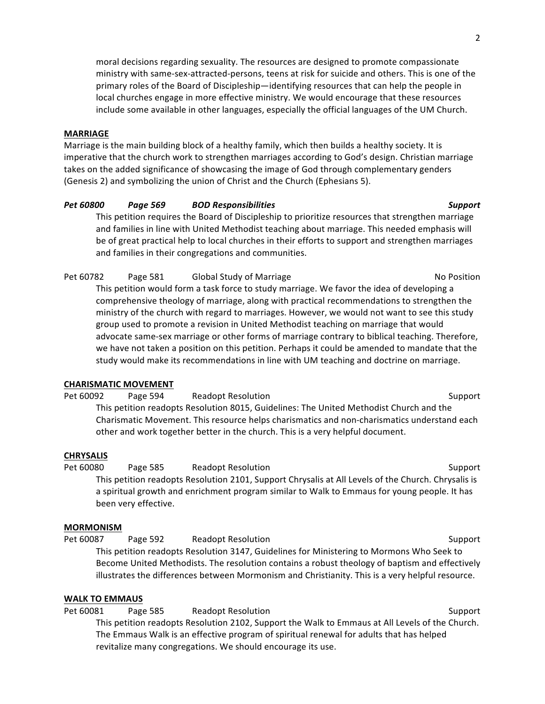moral decisions regarding sexuality. The resources are designed to promote compassionate ministry with same-sex-attracted-persons, teens at risk for suicide and others. This is one of the primary roles of the Board of Discipleship—identifying resources that can help the people in local churches engage in more effective ministry. We would encourage that these resources include some available in other languages, especially the official languages of the UM Church.

#### **MARRIAGE**

Marriage is the main building block of a healthy family, which then builds a healthy society. It is imperative that the church work to strengthen marriages according to God's design. Christian marriage takes on the added significance of showcasing the image of God through complementary genders (Genesis 2) and symbolizing the union of Christ and the Church (Ephesians 5).

#### *Pet 60800 Page 569 BOD Responsibilities Support*

This petition requires the Board of Discipleship to prioritize resources that strengthen marriage and families in line with United Methodist teaching about marriage. This needed emphasis will be of great practical help to local churches in their efforts to support and strengthen marriages and families in their congregations and communities.

Pet 60782 Page 581 Global Study of Marriage November 2012 No Position This petition would form a task force to study marriage. We favor the idea of developing a comprehensive theology of marriage, along with practical recommendations to strengthen the ministry of the church with regard to marriages. However, we would not want to see this study group used to promote a revision in United Methodist teaching on marriage that would advocate same-sex marriage or other forms of marriage contrary to biblical teaching. Therefore, we have not taken a position on this petition. Perhaps it could be amended to mandate that the study would make its recommendations in line with UM teaching and doctrine on marriage.

#### **CHARISMATIC MOVEMENT**

Pet 60092 Page 594 Readopt Resolution Communication Support This petition readopts Resolution 8015, Guidelines: The United Methodist Church and the Charismatic Movement. This resource helps charismatics and non-charismatics understand each other and work together better in the church. This is a very helpful document.

#### **CHRYSALIS**

Pet 60080 Page 585 Readopt Resolution Communication Support This petition readopts Resolution 2101, Support Chrysalis at All Levels of the Church. Chrysalis is a spiritual growth and enrichment program similar to Walk to Emmaus for young people. It has been very effective.

#### **MORMONISM**

Pet 60087 Page 592 Readopt Resolution Support Support This petition readopts Resolution 3147, Guidelines for Ministering to Mormons Who Seek to Become United Methodists. The resolution contains a robust theology of baptism and effectively illustrates the differences between Mormonism and Christianity. This is a very helpful resource.

#### **WALK TO EMMAUS**

Pet 60081 Page 585 Readopt Resolution Communication Support This petition readopts Resolution 2102, Support the Walk to Emmaus at All Levels of the Church. The Emmaus Walk is an effective program of spiritual renewal for adults that has helped revitalize many congregations. We should encourage its use.